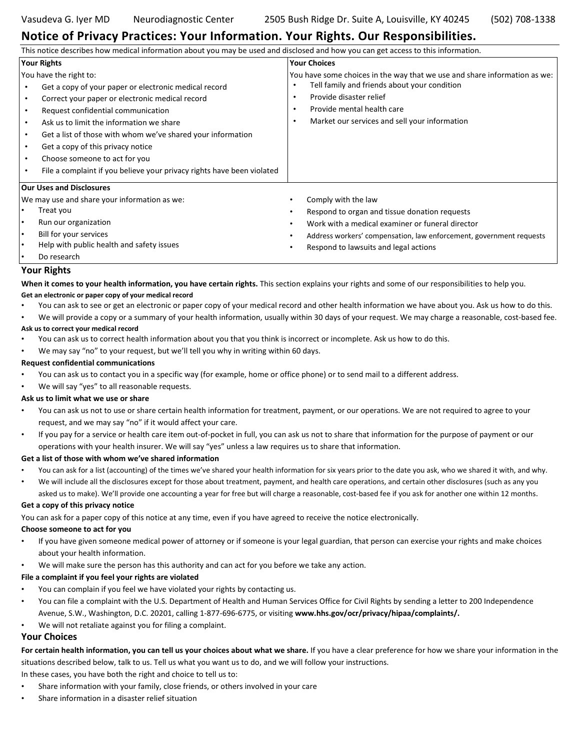## **Notice of Privacy Practices: Your Information. Your Rights. Our Responsibilities.**

This notice describes how medical information about you may be used and disclosed and how you can get access to this information.

| <b>Your Rights</b> |                                                                                                                                                                                                                                                                                                                                                                                                                                     | <b>Your Choices</b>                              |                                                                                                                                                                                                                                     |
|--------------------|-------------------------------------------------------------------------------------------------------------------------------------------------------------------------------------------------------------------------------------------------------------------------------------------------------------------------------------------------------------------------------------------------------------------------------------|--------------------------------------------------|-------------------------------------------------------------------------------------------------------------------------------------------------------------------------------------------------------------------------------------|
| $\bullet$          | You have the right to:<br>Get a copy of your paper or electronic medical record<br>Correct your paper or electronic medical record<br>Request confidential communication<br>Ask us to limit the information we share<br>Get a list of those with whom we've shared your information<br>Get a copy of this privacy notice<br>Choose someone to act for you<br>File a complaint if you believe your privacy rights have been violated | $\bullet$<br>$\bullet$<br>$\bullet$<br>$\bullet$ | You have some choices in the way that we use and share information as we:<br>Tell family and friends about your condition<br>Provide disaster relief<br>Provide mental health care<br>Market our services and sell your information |
|                    | <b>Our Uses and Disclosures</b>                                                                                                                                                                                                                                                                                                                                                                                                     |                                                  |                                                                                                                                                                                                                                     |
|                    | We may use and share your information as we:                                                                                                                                                                                                                                                                                                                                                                                        |                                                  | Comply with the law                                                                                                                                                                                                                 |
| $\bullet$          | Treat you                                                                                                                                                                                                                                                                                                                                                                                                                           |                                                  | Respond to organ and tissue donation requests                                                                                                                                                                                       |
| $\bullet$          | Run our organization                                                                                                                                                                                                                                                                                                                                                                                                                |                                                  | Work with a medical examiner or funeral director                                                                                                                                                                                    |
| $\bullet$          | Bill for your services                                                                                                                                                                                                                                                                                                                                                                                                              |                                                  | Address workers' compensation, law enforcement, government requests                                                                                                                                                                 |
| $\bullet$          | Help with public health and safety issues                                                                                                                                                                                                                                                                                                                                                                                           |                                                  | Respond to lawsuits and legal actions                                                                                                                                                                                               |
| $\bullet$          | Do research                                                                                                                                                                                                                                                                                                                                                                                                                         |                                                  |                                                                                                                                                                                                                                     |

#### **Your Rights**

**When it comes to your health information, you have certain rights.** This section explains your rights and some of our responsibilities to help you. **Get an electronic or paper copy of your medical record** 

- You can ask to see or get an electronic or paper copy of your medical record and other health information we have about you. Ask us how to do this.
- We will provide a copy or a summary of your health information, usually within 30 days of your request. We may charge a reasonable, cost-based fee.

#### **Ask us to correct your medical record**

- You can ask us to correct health information about you that you think is incorrect or incomplete. Ask us how to do this.
- We may say "no" to your request, but we'll tell you why in writing within 60 days.

#### **Request confidential communications**

- You can ask us to contact you in a specific way (for example, home or office phone) or to send mail to a different address.
- We will say "yes" to all reasonable requests.

#### **Ask us to limit what we use or share**

- You can ask us not to use or share certain health information for treatment, payment, or our operations. We are not required to agree to your request, and we may say "no" if it would affect your care.
- If you pay for a service or health care item out-of-pocket in full, you can ask us not to share that information for the purpose of payment or our operations with your health insurer. We will say "yes" unless a law requires us to share that information.

#### **Get a list of those with whom we've shared information**

- You can ask for a list (accounting) of the times we've shared your health information for six years prior to the date you ask, who we shared it with, and why.
- We will include all the disclosures except for those about treatment, payment, and health care operations, and certain other disclosures (such as any you asked us to make). We'll provide one accounting a year for free but will charge a reasonable, cost-based fee if you ask for another one within 12 months.

#### **Get a copy of this privacy notice**

You can ask for a paper copy of this notice at any time, even if you have agreed to receive the notice electronically.

#### **Choose someone to act for you**

- If you have given someone medical power of attorney or if someone is your legal guardian, that person can exercise your rights and make choices about your health information.
- We will make sure the person has this authority and can act for you before we take any action.

### **File a complaint if you feel your rights are violated**

- You can complain if you feel we have violated your rights by contacting us.
- You can file a complaint with the U.S. Department of Health and Human Services Office for Civil Rights by sending a letter to 200 Independence Avenue, S.W., Washington, D.C. 20201, calling 1-877-696-6775, or visiting **www.hhs.gov/ocr/privacy/hipaa/complaints/.**
- We will not retaliate against you for filing a complaint.

### **Your Choices**

For certain health information, you can tell us your choices about what we share. If you have a clear preference for how we share your information in the situations described below, talk to us. Tell us what you want us to do, and we will follow your instructions.

In these cases, you have both the right and choice to tell us to:

- Share information with your family, close friends, or others involved in your care
- Share information in a disaster relief situation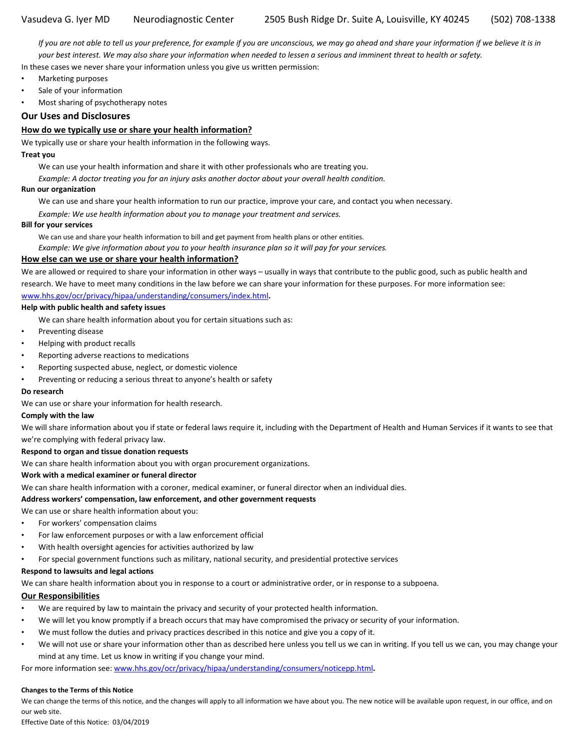*If you are not able to tell us your preference, for example if you are unconscious, we may go ahead and share your information if we believe it is in your best interest. We may also share your information when needed to lessen a serious and imminent threat to health or safety.*

In these cases we never share your information unless you give us written permission:

- Marketing purposes
- Sale of your information
- Most sharing of psychotherapy notes

#### **Our Uses and Disclosures**

#### **How do we typically use or share your health information?**

We typically use or share your health information in the following ways.

#### **Treat you**

We can use your health information and share it with other professionals who are treating you.

*Example: A doctor treating you for an injury asks another doctor about your overall health condition.*

#### **Run our organization**

We can use and share your health information to run our practice, improve your care, and contact you when necessary.

*Example: We use health information about you to manage your treatment and services.* 

#### **Bill for your services**

We can use and share your health information to bill and get payment from health plans or other entities.

*Example: We give information about you to your health insurance plan so it will pay for your services.* 

#### **How else can we use or share your health information?**

We are allowed or required to share your information in other ways – usually in ways that contribute to the public good, such as public health and research. We have to meet many conditions in the law before we can share your information for these purposes. For more information see:

#### [www.hhs.gov/ocr/privacy/hipaa/understanding/consumers/index.html](http://www.hhs.gov/ocr/privacy/hipaa/understanding/consumers/index.html)**.**

#### **Help with public health and safety issues**

We can share health information about you for certain situations such as:

- Preventing disease
- Helping with product recalls
- Reporting adverse reactions to medications
- Reporting suspected abuse, neglect, or domestic violence
- Preventing or reducing a serious threat to anyone's health or safety

#### **Do research**

We can use or share your information for health research.

#### **Comply with the law**

We will share information about you if state or federal laws require it, including with the Department of Health and Human Services if it wants to see that we're complying with federal privacy law.

#### **Respond to organ and tissue donation requests**

We can share health information about you with organ procurement organizations.

#### **Work with a medical examiner or funeral director**

We can share health information with a coroner, medical examiner, or funeral director when an individual dies.

### **Address workers' compensation, law enforcement, and other government requests**

We can use or share health information about you:

- For workers' compensation claims
- For law enforcement purposes or with a law enforcement official
- With health oversight agencies for activities authorized by law
- For special government functions such as military, national security, and presidential protective services

#### **Respond to lawsuits and legal actions**

We can share health information about you in response to a court or administrative order, or in response to a subpoena.

### **Our Responsibilities**

- We are required by law to maintain the privacy and security of your protected health information.
- We will let you know promptly if a breach occurs that may have compromised the privacy or security of your information.
- We must follow the duties and privacy practices described in this notice and give you a copy of it.
- We will not use or share your information other than as described here unless you tell us we can in writing. If you tell us we can, you may change your mind at any time. Let us know in writing if you change your mind.

For more information see[: www.hhs.gov/ocr/privacy/hipaa/understanding/consumers/noticepp.html](http://www.hhs.gov/ocr/privacy/hipaa/understanding/consumers/noticepp.html)**.**

#### **Changes to the Terms of this Notice**

We can change the terms of this notice, and the changes will apply to all information we have about you. The new notice will be available upon request, in our office, and on our web site.

Effective Date of this Notice: 03/04/2019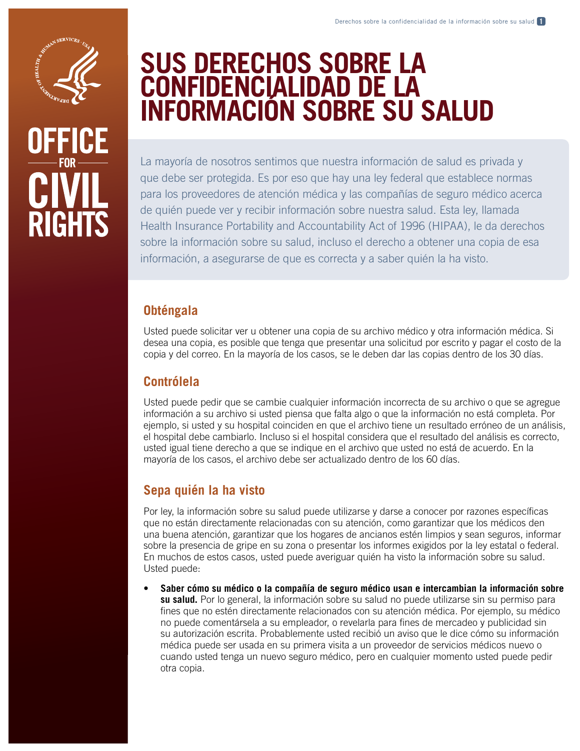

**OFFICE**

# **SUS DERECHOS SOBRE LA INFORMACIÓN SOBRE SU SALUD**

La mayoría de nosotros sentimos que nuestra información de salud es privada y que debe ser protegida. Es por eso que hay una ley federal que establece normas para los proveedores de atención médica y las compañías de seguro médico acerca de quién puede ver y recibir información sobre nuestra salud. Esta ley, llamada Health Insurance Portability and Accountability Act of 1996 (HIPAA), le da derechos sobre la información sobre su salud, incluso el derecho a obtener una copia de esa información, a asegurarse de que es correcta y a saber quién la ha visto.

## **Obténgala**

Usted puede solicitar ver u obtener una copia de su archivo médico y otra información médica. Si desea una copia, es posible que tenga que presentar una solicitud por escrito y pagar el costo de la copia y del correo. En la mayoría de los casos, se le deben dar las copias dentro de los 30 días.

## **Contrólela**

Usted puede pedir que se cambie cualquier información incorrecta de su archivo o que se agregue información a su archivo si usted piensa que falta algo o que la información no está completa. Por ejemplo, si usted y su hospital coinciden en que el archivo tiene un resultado erróneo de un análisis, el hospital debe cambiarlo. Incluso si el hospital considera que el resultado del análisis es correcto, usted igual tiene derecho a que se indique en el archivo que usted no está de acuerdo. En la mayoría de los casos, el archivo debe ser actualizado dentro de los 60 días.

## **Sepa quién la ha visto**

Por ley, la información sobre su salud puede utilizarse y darse a conocer por razones específicas que no están directamente relacionadas con su atención, como garantizar que los médicos den una buena atención, garantizar que los hogares de ancianos estén limpios y sean seguros, informar sobre la presencia de gripe en su zona o presentar los informes exigidos por la ley estatal o federal. En muchos de estos casos, usted puede averiguar quién ha visto la información sobre su salud. Usted puede:

**Saber cómo su médico o la compañía de seguro médico usan e intercambian la información sobre su salud.** Por lo general, la información sobre su salud no puede utilizarse sin su permiso para fines que no estén directamente relacionados con su atención médica. Por ejemplo, su médico no puede comentársela a su empleador, o revelarla para fines de mercadeo y publicidad sin su autorización escrita. Probablemente usted recibió un aviso que le dice cómo su información médica puede ser usada en su primera visita a un proveedor de servicios médicos nuevo o cuando usted tenga un nuevo seguro médico, pero en cualquier momento usted puede pedir otra copia. •